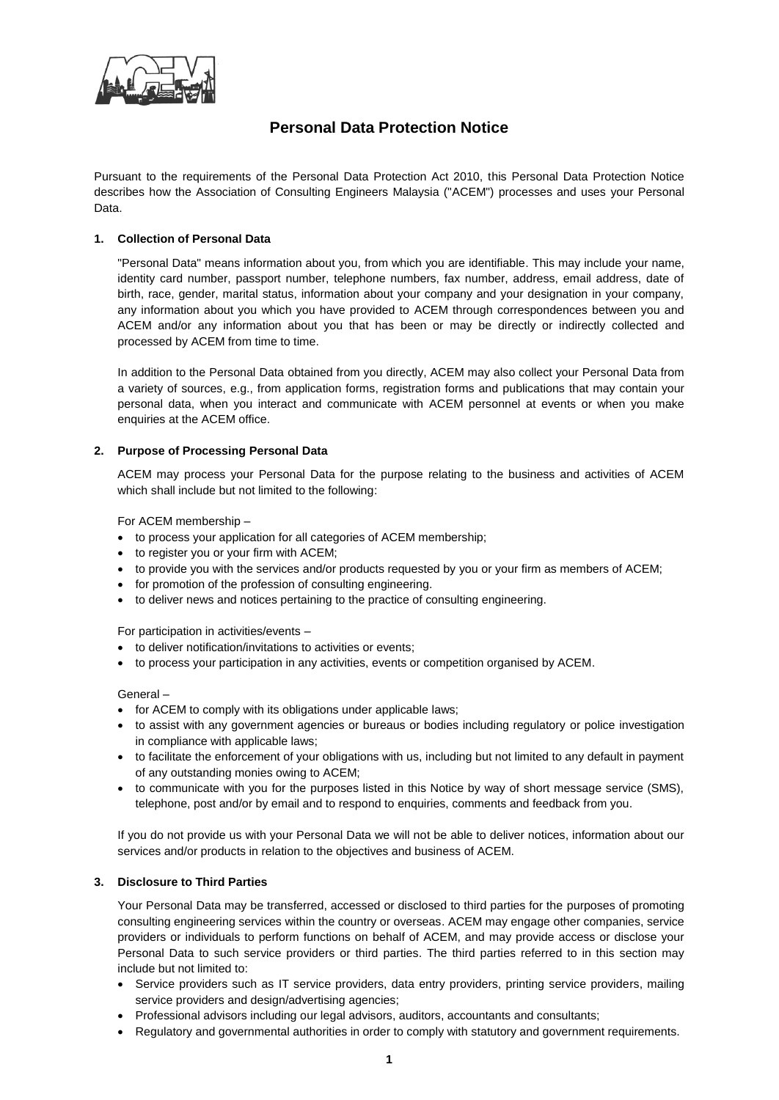

# **Personal Data Protection Notice**

Pursuant to the requirements of the Personal Data Protection Act 2010, this Personal Data Protection Notice describes how the Association of Consulting Engineers Malaysia ("ACEM") processes and uses your Personal Data.

## **1. Collection of Personal Data**

"Personal Data" means information about you, from which you are identifiable. This may include your name, identity card number, passport number, telephone numbers, fax number, address, email address, date of birth, race, gender, marital status, information about your company and your designation in your company, any information about you which you have provided to ACEM through correspondences between you and ACEM and/or any information about you that has been or may be directly or indirectly collected and processed by ACEM from time to time.

In addition to the Personal Data obtained from you directly, ACEM may also collect your Personal Data from a variety of sources, e.g., from application forms, registration forms and publications that may contain your personal data, when you interact and communicate with ACEM personnel at events or when you make enquiries at the ACEM office.

### **2. Purpose of Processing Personal Data**

ACEM may process your Personal Data for the purpose relating to the business and activities of ACEM which shall include but not limited to the following:

For ACEM membership –

- to process your application for all categories of ACEM membership;
- to register you or your firm with ACEM;
- to provide you with the services and/or products requested by you or your firm as members of ACEM;
- for promotion of the profession of consulting engineering.
- to deliver news and notices pertaining to the practice of consulting engineering.

For participation in activities/events –

- to deliver notification/invitations to activities or events;
- to process your participation in any activities, events or competition organised by ACEM.

General –

- for ACEM to comply with its obligations under applicable laws;
- to assist with any government agencies or bureaus or bodies including regulatory or police investigation in compliance with applicable laws;
- to facilitate the enforcement of your obligations with us, including but not limited to any default in payment of any outstanding monies owing to ACEM;
- to communicate with you for the purposes listed in this Notice by way of short message service (SMS), telephone, post and/or by email and to respond to enquiries, comments and feedback from you.

If you do not provide us with your Personal Data we will not be able to deliver notices, information about our services and/or products in relation to the objectives and business of ACEM.

## **3. Disclosure to Third Parties**

Your Personal Data may be transferred, accessed or disclosed to third parties for the purposes of promoting consulting engineering services within the country or overseas. ACEM may engage other companies, service providers or individuals to perform functions on behalf of ACEM, and may provide access or disclose your Personal Data to such service providers or third parties. The third parties referred to in this section may include but not limited to:

- Service providers such as IT service providers, data entry providers, printing service providers, mailing service providers and design/advertising agencies;
- Professional advisors including our legal advisors, auditors, accountants and consultants;
- Regulatory and governmental authorities in order to comply with statutory and government requirements.